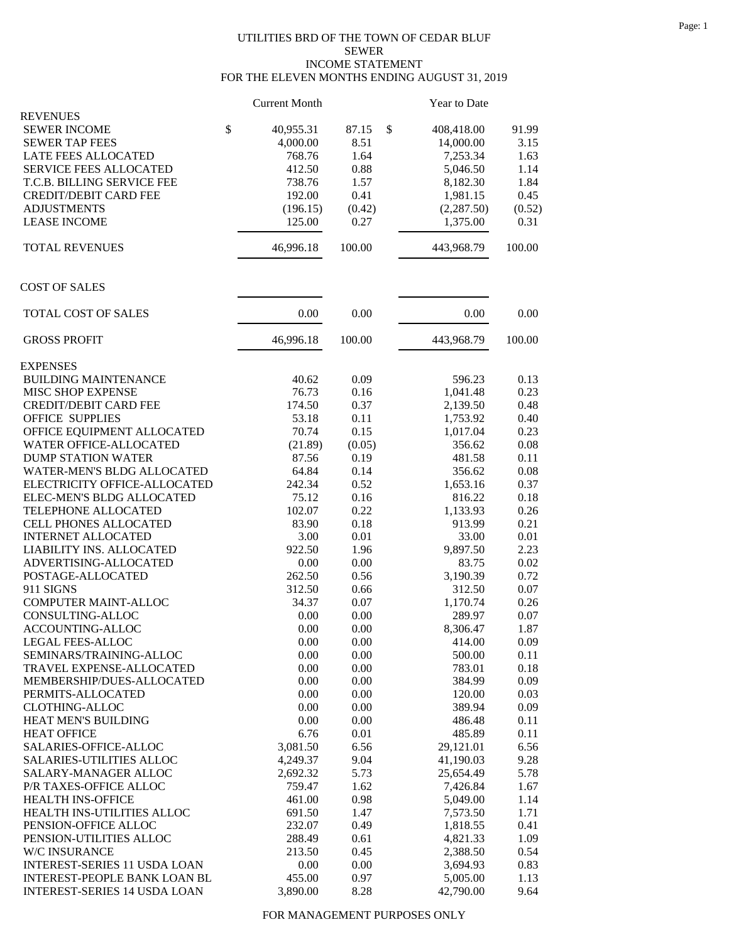## UTILITIES BRD OF THE TOWN OF CEDAR BLUF SEWER INCOME STATEMENT FOR THE ELEVEN MONTHS ENDING AUGUST 31, 2019

|                                     | <b>Current Month</b> |        | Year to Date     |        |
|-------------------------------------|----------------------|--------|------------------|--------|
| <b>REVENUES</b>                     |                      |        |                  |        |
| <b>SEWER INCOME</b>                 | \$<br>40,955.31      | 87.15  | \$<br>408,418.00 | 91.99  |
| <b>SEWER TAP FEES</b>               | 4,000.00             | 8.51   | 14,000.00        | 3.15   |
| LATE FEES ALLOCATED                 | 768.76               | 1.64   | 7,253.34         | 1.63   |
| <b>SERVICE FEES ALLOCATED</b>       | 412.50               | 0.88   | 5,046.50         | 1.14   |
| T.C.B. BILLING SERVICE FEE          | 738.76               | 1.57   | 8,182.30         | 1.84   |
| <b>CREDIT/DEBIT CARD FEE</b>        | 192.00               | 0.41   | 1,981.15         | 0.45   |
| <b>ADJUSTMENTS</b>                  | (196.15)             | (0.42) | (2, 287.50)      | (0.52) |
| <b>LEASE INCOME</b>                 | 125.00               | 0.27   | 1,375.00         | 0.31   |
| <b>TOTAL REVENUES</b>               | 46,996.18            | 100.00 | 443,968.79       | 100.00 |
| <b>COST OF SALES</b>                |                      |        |                  |        |
| TOTAL COST OF SALES                 | 0.00                 | 0.00   | 0.00             | 0.00   |
| <b>GROSS PROFIT</b>                 | 46,996.18            | 100.00 | 443,968.79       | 100.00 |
| <b>EXPENSES</b>                     |                      |        |                  |        |
| <b>BUILDING MAINTENANCE</b>         | 40.62                | 0.09   | 596.23           | 0.13   |
| MISC SHOP EXPENSE                   | 76.73                | 0.16   | 1,041.48         | 0.23   |
| <b>CREDIT/DEBIT CARD FEE</b>        | 174.50               | 0.37   | 2,139.50         | 0.48   |
| <b>OFFICE SUPPLIES</b>              | 53.18                | 0.11   | 1,753.92         | 0.40   |
| OFFICE EQUIPMENT ALLOCATED          | 70.74                | 0.15   | 1,017.04         | 0.23   |
| WATER OFFICE-ALLOCATED              | (21.89)              | (0.05) | 356.62           | 0.08   |
| <b>DUMP STATION WATER</b>           | 87.56                | 0.19   | 481.58           | 0.11   |
| <b>WATER-MEN'S BLDG ALLOCATED</b>   | 64.84                | 0.14   | 356.62           | 0.08   |
| ELECTRICITY OFFICE-ALLOCATED        | 242.34               | 0.52   | 1,653.16         | 0.37   |
| ELEC-MEN'S BLDG ALLOCATED           | 75.12                | 0.16   | 816.22           | 0.18   |
| TELEPHONE ALLOCATED                 | 102.07               | 0.22   | 1,133.93         | 0.26   |
| CELL PHONES ALLOCATED               | 83.90                | 0.18   | 913.99           | 0.21   |
| <b>INTERNET ALLOCATED</b>           | 3.00                 | 0.01   | 33.00            | 0.01   |
| LIABILITY INS. ALLOCATED            | 922.50               | 1.96   | 9,897.50         | 2.23   |
| ADVERTISING-ALLOCATED               | 0.00                 | 0.00   | 83.75            | 0.02   |
| POSTAGE-ALLOCATED                   | 262.50               | 0.56   | 3,190.39         | 0.72   |
| 911 SIGNS                           | 312.50               | 0.66   | 312.50           | 0.07   |
| <b>COMPUTER MAINT-ALLOC</b>         | 34.37                | 0.07   | 1,170.74         | 0.26   |
| CONSULTING-ALLOC                    | 0.00                 | 0.00   | 289.97           | 0.07   |
| ACCOUNTING-ALLOC                    | 0.00                 | 0.00   | 8,306.47         | 1.87   |
| <b>LEGAL FEES-ALLOC</b>             | 0.00                 | 0.00   | 414.00           | 0.09   |
| SEMINARS/TRAINING-ALLOC             | 0.00                 | 0.00   | 500.00           | 0.11   |
| TRAVEL EXPENSE-ALLOCATED            | 0.00                 | 0.00   | 783.01           | 0.18   |
| MEMBERSHIP/DUES-ALLOCATED           | 0.00                 | 0.00   | 384.99           | 0.09   |
| PERMITS-ALLOCATED                   | 0.00                 | 0.00   | 120.00           | 0.03   |
| <b>CLOTHING-ALLOC</b>               | 0.00                 | 0.00   | 389.94           | 0.09   |
| HEAT MEN'S BUILDING                 | 0.00                 | 0.00   | 486.48           | 0.11   |
| <b>HEAT OFFICE</b>                  | 6.76                 | 0.01   | 485.89           | 0.11   |
| SALARIES-OFFICE-ALLOC               | 3,081.50             | 6.56   | 29,121.01        | 6.56   |
| <b>SALARIES-UTILITIES ALLOC</b>     | 4,249.37             | 9.04   | 41,190.03        | 9.28   |
| SALARY-MANAGER ALLOC                | 2,692.32             | 5.73   | 25,654.49        | 5.78   |
| P/R TAXES-OFFICE ALLOC              | 759.47               | 1.62   | 7,426.84         | 1.67   |
| HEALTH INS-OFFICE                   | 461.00               | 0.98   | 5,049.00         | 1.14   |
| HEALTH INS-UTILITIES ALLOC          | 691.50               | 1.47   | 7,573.50         | 1.71   |
| PENSION-OFFICE ALLOC                | 232.07               | 0.49   | 1,818.55         | 0.41   |
| PENSION-UTILITIES ALLOC             | 288.49               | 0.61   | 4,821.33         | 1.09   |
| W/C INSURANCE                       | 213.50               | 0.45   | 2,388.50         | 0.54   |
| <b>INTEREST-SERIES 11 USDA LOAN</b> | 0.00                 | 0.00   | 3,694.93         | 0.83   |
| <b>INTEREST-PEOPLE BANK LOAN BL</b> | 455.00               | 0.97   | 5,005.00         | 1.13   |
| <b>INTEREST-SERIES 14 USDA LOAN</b> | 3,890.00             | 8.28   | 42,790.00        | 9.64   |